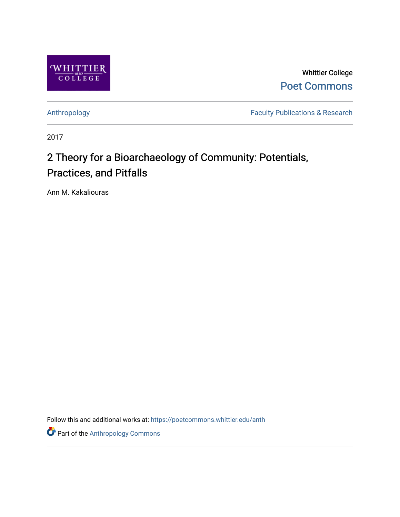

Whittier College [Poet Commons](https://poetcommons.whittier.edu/) 

[Anthropology](https://poetcommons.whittier.edu/anth) **Faculty Publications & Research** 

2017

# 2 Theory for a Bioarchaeology of Community: Potentials, Practices, and Pitfalls

Ann M. Kakaliouras

Follow this and additional works at: [https://poetcommons.whittier.edu/anth](https://poetcommons.whittier.edu/anth?utm_source=poetcommons.whittier.edu%2Fanth%2F3&utm_medium=PDF&utm_campaign=PDFCoverPages) 

**Part of the [Anthropology Commons](http://network.bepress.com/hgg/discipline/318?utm_source=poetcommons.whittier.edu%2Fanth%2F3&utm_medium=PDF&utm_campaign=PDFCoverPages)**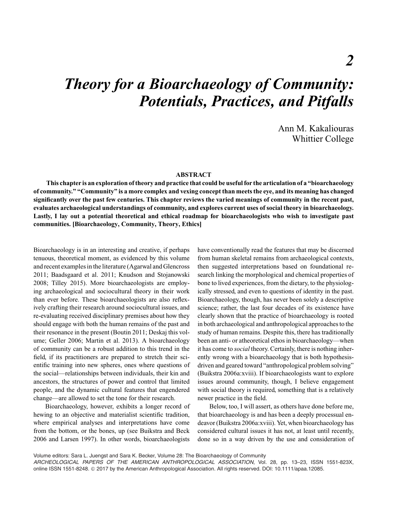# *Theory for a Bioarchaeology of Community: Potentials, Practices, and Pitfalls*

Ann M. Kakaliouras Whittier College

#### **ABSTRACT**

**This chapter is an exploration of theory and practice that could be useful for the articulation of a "bioarchaeology of community." "Community" is a more complex and vexing concept than meets the eye, and its meaning has changed significantly over the past few centuries. This chapter reviews the varied meanings of community in the recent past, evaluates archaeological understandings of community, and explores current uses of social theory in bioarchaeology. Lastly, I lay out a potential theoretical and ethical roadmap for bioarchaeologists who wish to investigate past communities. [Bioarchaeology, Community, Theory, Ethics]**

Bioarchaeology is in an interesting and creative, if perhaps tenuous, theoretical moment, as evidenced by this volume and recent examples in the literature (Agarwal and Glencross 2011; Baadsgaard et al. 2011; Knudson and Stojanowski 2008; Tilley 2015). More bioarchaeologists are employing archaeological and sociocultural theory in their work than ever before. These bioarchaeologists are also reflexively crafting their research around sociocultural issues, and re-evaluating received disciplinary premises about how they should engage with both the human remains of the past and their resonance in the present (Boutin 2011; Deskaj this volume; Geller 2006; Martin et al. 2013). A bioarchaeology of community can be a robust addition to this trend in the field, if its practitioners are prepared to stretch their scientific training into new spheres, ones where questions of the social—relationships between individuals, their kin and ancestors, the structures of power and control that limited people, and the dynamic cultural features that engendered change—are allowed to set the tone for their research.

Bioarchaeology, however, exhibits a longer record of hewing to an objective and materialist scientific tradition, where empirical analyses and interpretations have come from the bottom, or the bones, up (see Buikstra and Beck 2006 and Larsen 1997). In other words, bioarchaeologists

have conventionally read the features that may be discerned from human skeletal remains from archaeological contexts, then suggested interpretations based on foundational research linking the morphological and chemical properties of bone to lived experiences, from the dietary, to the physiologically stressed, and even to questions of identity in the past. Bioarchaeology, though, has never been solely a descriptive science; rather, the last four decades of its existence have clearly shown that the practice of bioarchaeology is rooted in both archaeological and anthropological approaches to the study of human remains. Despite this, there has traditionally been an anti- or atheoretical ethos in bioarchaeology—when it has come to *social* theory. Certainly, there is nothing inherently wrong with a bioarchaeology that is both hypothesisdriven and geared toward "anthropological problem solving" (Buikstra 2006a:xviii). If bioarchaeologists want to explore issues around community, though, I believe engagement with social theory is required, something that is a relatively newer practice in the field.

Below, too, I will assert, as others have done before me, that bioarchaeology is and has been a deeply processual endeavor (Buikstra 2006a:xviii). Yet, when bioarchaeology has considered cultural issues it has not, at least until recently, done so in a way driven by the use and consideration of

Volume editors: Sara L. Juengst and Sara K. Becker, Volume 28: The Bioarchaeology of Community

*ARCHEOLOGICAL PAPERS OF THE AMERICAN ANTHROPOLOGICAL ASSOCIATION*, Vol. 28, pp. 13–23, ISSN 1551-823X, online ISSN 1551-8248. © 2017 by the American Anthropological Association. All rights reserved. DOI: 10.1111/apaa.12085.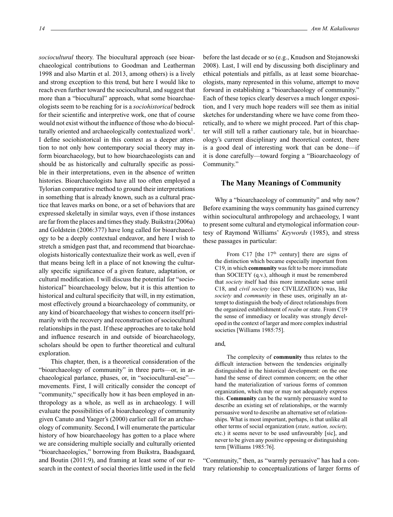*sociocultural* theory. The biocultural approach (see bioarchaeological contributions to Goodman and Leatherman 1998 and also Martin et al. 2013, among others) is a lively and strong exception to this trend, but here I would like to reach even further toward the sociocultural, and suggest that more than a "biocultural" approach, what some bioarchaeologists seem to be reaching for is a *sociohistorical* bedrock for their scientific and interpretive work, one that of course would not exist without the influence of those who do bioculturally oriented and archaeologically contextualized work<sup>1</sup>. I define sociohistorical in this context as a deeper attention to not only how contemporary social theory may inform bioarchaeology, but to how bioarchaeologists can and should be as historically and culturally specific as possible in their interpretations, even in the absence of written histories. Bioarchaeologists have all too often employed a Tylorian comparative method to ground their interpretations in something that is already known, such as a cultural practice that leaves marks on bone, or a set of behaviors that are expressed skeletally in similar ways, even if those instances are far from the places and times they study. Buikstra (2006a) and Goldstein (2006:377) have long called for bioarchaeology to be a deeply contextual endeavor, and here I wish to stretch a smidgen past that, and recommend that bioarchaeologists historically contextualize their work as well, even if that means being left in a place of not knowing the culturally specific significance of a given feature, adaptation, or cultural modification. I will discuss the potential for "sociohistorical" bioarchaeology below, but it is this attention to historical and cultural specificity that will, in my estimation, most effectively ground a bioarchaeology of community, or any kind of bioarchaeology that wishes to concern itself primarily with the recovery and reconstruction of sociocultural relationships in the past. If these approaches are to take hold and influence research in and outside of bioarchaeology, scholars should be open to further theoretical and cultural exploration.

This chapter, then, is a theoretical consideration of the "bioarchaeology of community" in three parts—or, in archaeological parlance, phases, or, in "sociocultural-ese" movements. First, I will critically consider the concept of "community," specifically how it has been employed in anthropology as a whole, as well as in archaeology. I will evaluate the possibilities of a bioarchaeology of community given Canuto and Yaeger's (2000) earlier call for an archaeology of community. Second, I will enumerate the particular history of how bioarchaeology has gotten to a place where we are considering multiple socially and culturally oriented "bioarchaeologies," borrowing from Buikstra, Baadsgaard, and Boutin (2011:9), and framing at least some of our research in the context of social theories little used in the field

before the last decade or so (e.g., Knudson and Stojanowski 2008). Last, I will end by discussing both disciplinary and ethical potentials and pitfalls, as at least some bioarchaeologists, many represented in this volume, attempt to move forward in establishing a "bioarchaeology of community." Each of these topics clearly deserves a much longer exposition, and I very much hope readers will see them as initial sketches for understanding where we have come from theoretically, and to where we might proceed. Part of this chapter will still tell a rather cautionary tale, but in bioarchaeology's current disciplinary and theoretical context, there is a good deal of interesting work that can be done—if it is done carefully—toward forging a "Bioarchaeology of Community."

# **The Many Meanings of Community**

Why a "bioarchaeology of community" and why now? Before examining the ways community has gained currency within sociocultural anthropology and archaeology, I want to present some cultural and etymological information courtesy of Raymond Williams' *Keywords* (1985), and stress these passages in particular:

From C17 [the  $17<sup>th</sup>$  century] there are signs of the distinction which became especially important from C19, in which **community** was felt to be more immediate than SOCIETY (q.v.), although it must be remembered that *society* itself had this more immediate sense until C18, and *civil society* (see CIVILIZATION) was, like *society* and *community* in these uses, originally an attempt to distinguish the body of direct relationships from the organized establishment of *realm* or state. From C19 the sense of immediacy or locality was strongly developed in the context of larger and more complex industrial societies [Williams 1985:75].

#### and,

The complexity of **community** thus relates to the difficult interaction between the tendencies originally distinguished in the historical development: on the one hand the sense of direct common concern; on the other hand the materialization of various forms of common organization, which may or may not adequately express this. **Community** can be the warmly persuasive word to describe an existing set of relationships, or the warmly persuasive word to describe an alternative set of relationships. What is most important, perhaps, is that unlike all other terms of social organization (*state, nation, society,* etc.) it seems never to be used unfavourably [sic], and never to be given any positive opposing or distinguishing term [Williams 1985:76].

"Community," then, as "warmly persuasive" has had a contrary relationship to conceptualizations of larger forms of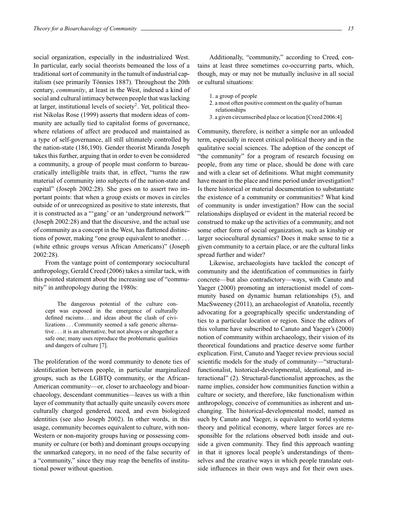social organization, especially in the industrialized West. In particular, early social theorists bemoaned the loss of a traditional sort of community in the tumult of industrial capitalism (see primarily Tönnies 1887). Throughout the 20th century, *community*, at least in the West, indexed a kind of social and cultural intimacy between people that was lacking at larger, institutional levels of society<sup>2</sup>. Yet, political theorist Nikolas Rose (1999) asserts that modern ideas of community are actually tied to capitalist forms of governance, where relations of affect are produced and maintained as a type of self-governance, all still ultimately controlled by the nation-state (186,190). Gender theorist Miranda Joseph takes this further, arguing that in order to even be considered a community, a group of people must conform to bureaucratically intelligible traits that, in effect, "turns the raw material of community into subjects of the nation-state and capital" (Joseph 2002:28). She goes on to assert two important points: that when a group exists or moves in circles outside of or unrecognized as positive to state interests, that it is constructed as a "'gang' or an 'underground network'" (Joseph 2002:28) and that the discursive, and the actual use of community as a concept in the West, has flattened distinctions of power, making "one group equivalent to another . . . (white ethnic groups versus African Americans)" (Joseph 2002:28).

From the vantage point of contemporary sociocultural anthropology, Gerald Creed (2006) takes a similar tack, with this pointed statement about the increasing use of "community" in anthropology during the 1980s:

The dangerous potential of the culture concept was exposed in the emergence of culturally defined racisms . . . and ideas about the clash of civilizations . . . Community seemed a safe generic alternative . . . it is an alternative, but not always or altogether a safe one; many uses reproduce the problematic qualities and dangers of culture [7].

The proliferation of the word community to denote ties of identification between people, in particular marginalized groups, such as the LGBTQ community, or the African-American community—or, closer to archaeology and bioarchaeology, descendant communities—leaves us with a thin layer of community that actually quite uneasily covers more culturally charged gendered, raced, and even biologized identities (see also Joseph 2002). In other words, in this usage, community becomes equivalent to culture, with non-Western or non-majority groups having or possessing community or culture (or both) and dominant groups occupying the unmarked category, in no need of the false security of a "community," since they may reap the benefits of institutional power without question.

Additionally, "community," according to Creed, contains at least three sometimes co-occurring parts, which, though, may or may not be mutually inclusive in all social or cultural situations:

- 1. a group of people
- 2. a most often positive comment on the quality of human relationships
- 3. a given circumscribed place or location [Creed 2006:4]

Community, therefore, is neither a simple nor an unloaded term, especially in recent critical political theory and in the qualitative social sciences. The adoption of the concept of "the community" for a program of research focusing on people, from any time or place, should be done with care and with a clear set of definitions. What might community have meant in the place and time period under investigation? Is there historical or material documentation to substantiate the existence of a community or communities? What kind of community is under investigation? How can the social relationships displayed or evident in the material record be construed to make up the activities of a community, and not some other form of social organization, such as kinship or larger sociocultural dynamics? Does it make sense to tie a given community to a certain place, or are the cultural links spread further and wider?

Likewise, archaeologists have tackled the concept of community and the identification of communities in fairly concrete—but also contradictory—ways, with Canuto and Yaeger (2000) promoting an interactionist model of community based on dynamic human relationships (5), and MacSweeney (2011), an archaeologist of Anatolia, recently advocating for a geographically specific understanding of ties to a particular location or region. Since the editors of this volume have subscribed to Canuto and Yaeger's (2000) notion of community within archaeology, their vision of its theoretical foundations and practice deserve some further explication. First, Canuto and Yaeger review previous social scientific models for the study of community—"structuralfunctionalist, historical-developmental, ideational, and interactional" (2). Structural-functionalist approaches, as the name implies, consider how communities function within a culture or society, and therefore, like functionalism within anthropology, conceive of communities as inherent and unchanging. The historical-developmental model, named as such by Canuto and Yaeger, is equivalent to world systems theory and political economy, where larger forces are responsible for the relations observed both inside and outside a given community. They find this approach wanting in that it ignores local people's understandings of themselves and the creative ways in which people translate outside influences in their own ways and for their own uses.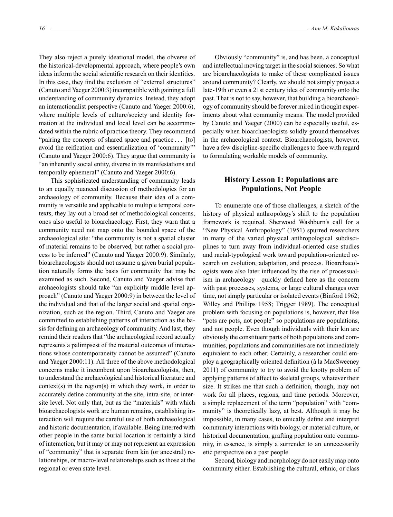They also reject a purely ideational model, the obverse of the historical-developmental approach, where people's own ideas inform the social scientific research on their identities. In this case, they find the exclusion of "external structures" (Canuto and Yaeger 2000:3) incompatible with gaining a full understanding of community dynamics. Instead, they adopt an interactionalist perspective (Canuto and Yaeger 2000:6), where multiple levels of culture/society and identity formation at the individual and local level can be accommodated within the rubric of practice theory. They recommend "pairing the concepts of shared space and practice... [to] avoid the reification and essentialization of 'community'" (Canuto and Yaeger 2000:6). They argue that community is "an inherently social entity, diverse in its manifestations and temporally ephemeral" (Canuto and Yaeger 2000:6).

This sophisticated understanding of community leads to an equally nuanced discussion of methodologies for an archaeology of community. Because their idea of a community is versatile and applicable to multiple temporal contexts, they lay out a broad set of methodological concerns, ones also useful to bioarchaeology. First, they warn that a community need not map onto the bounded space of the archaeological site: "the community is not a spatial cluster of material remains to be observed, but rather a social process to be inferred" (Canuto and Yaeger 2000:9). Similarly, bioarchaeologists should not assume a given burial population naturally forms the basis for community that may be examined as such. Second, Canuto and Yaeger advise that archaeologists should take "an explicitly middle level approach" (Canuto and Yaeger 2000:9) in between the level of the individual and that of the larger social and spatial organization, such as the region. Third, Canuto and Yaeger are committed to establishing patterns of interaction as the basis for defining an archaeology of community. And last, they remind their readers that "the archaeological record actually represents a palimpsest of the material outcomes of interactions whose contemporaneity cannot be assumed" (Canuto and Yaeger 2000:11). All three of the above methodological concerns make it incumbent upon bioarchaeologists, then, to understand the archaeological and historical literature and context(s) in the region(s) in which they work, in order to accurately define community at the site, intra-site, or intersite level. Not only that, but as the "materials" with which bioarchaeologists work are human remains, establishing interaction will require the careful use of both archaeological and historic documentation, if available. Being interred with other people in the same burial location is certainly a kind of interaction, but it may or may not represent an expression of "community" that is separate from kin (or ancestral) relationships, or macro-level relationships such as those at the regional or even state level.

Obviously "community" is, and has been, a conceptual and intellectual moving target in the social sciences. So what are bioarchaeologists to make of these complicated issues around community? Clearly, we should not simply project a late-19th or even a 21st century idea of community onto the past. That is not to say, however, that building a bioarchaeology of community should be forever mired in thought experiments about what community means. The model provided by Canuto and Yaeger (2000) can be especially useful, especially when bioarchaeologists solidly ground themselves in the archaeological context. Bioarchaeologists, however, have a few discipline-specific challenges to face with regard to formulating workable models of community.

# **History Lesson 1: Populations are Populations, Not People**

To enumerate one of those challenges, a sketch of the history of physical anthropology's shift to the population framework is required. Sherwood Washburn's call for a "New Physical Anthropology" (1951) spurred researchers in many of the varied physical anthropological subdisciplines to turn away from individual-oriented case studies and racial-typological work toward population-oriented research on evolution, adaptation, and process. Bioarchaeologists were also later influenced by the rise of processualism in archaeology—quickly defined here as the concern with past processes, systems, or large cultural changes over time, not simply particular or isolated events (Binford 1962; Willey and Phillips 1958; Trigger 1989). The conceptual problem with focusing on populations is, however, that like "pots are pots, not people" so populations are populations, and not people. Even though individuals with their kin are obviously the constituent parts of both populations and communities, populations and communities are not immediately equivalent to each other. Certainly, a researcher could employ a geographically oriented definition (à la MacSweeney 2011) of community to try to avoid the knotty problem of applying patterns of affect to skeletal groups, whatever their size. It strikes me that such a definition, though, may not work for all places, regions, and time periods. Moreover, a simple replacement of the term "population" with "community" is theoretically lazy, at best. Although it may be impossible, in many cases, to emically define and interpret community interactions with biology, or material culture, or historical documentation, grafting population onto community, in essence, is simply a surrender to an unnecessarily etic perspective on a past people.

Second, biology and morphology do not easily map onto community either. Establishing the cultural, ethnic, or class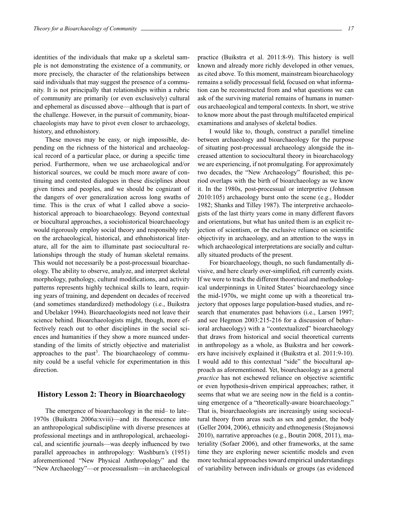identities of the individuals that make up a skeletal sample is not demonstrating the existence of a community, or more precisely, the character of the relationships between said individuals that may suggest the presence of a community. It is not principally that relationships within a rubric of community are primarily (or even exclusively) cultural and ephemeral as discussed above—although that is part of the challenge. However, in the pursuit of community, bioarchaeologists may have to pivot even closer to archaeology, history, and ethnohistory.

These moves may be easy, or nigh impossible, depending on the richness of the historical and archaeological record of a particular place, or during a specific time period. Furthermore, when we use archaeological and/or historical sources, we could be much more aware of continuing and contested dialogues in these disciplines about given times and peoples, and we should be cognizant of the dangers of over generalization across long swaths of time. This is the crux of what I called above a sociohistorical approach to bioarchaeology. Beyond contextual or biocultural approaches, a sociohistorical bioarchaeology would rigorously employ social theory and responsibly rely on the archaeological, historical, and ethnohistorical literature, all for the aim to illuminate past sociocultural relationships through the study of human skeletal remains. This would not necessarily be a post-processual bioarchaeology. The ability to observe, analyze, and interpret skeletal morphology, pathology, cultural modifications, and activity patterns represents highly technical skills to learn, requiring years of training, and dependent on decades of received (and sometimes standardized) methodology (i.e., Buikstra and Ubelaker 1994). Bioarchaeologists need not leave their science behind. Bioarchaeologists might, though, more effectively reach out to other disciplines in the social sciences and humanities if they show a more nuanced understanding of the limits of strictly objective and materialist approaches to the past<sup>3</sup>. The bioarchaeology of community could be a useful vehicle for experimentation in this direction.

# **History Lesson 2: Theory in Bioarchaeology**

The emergence of bioarchaeology in the mid– to late– 1970s (Buikstra 2006a:xviii)—and its fluorescence into an anthropological subdiscipline with diverse presences at professional meetings and in anthropological, archaeological, and scientific journals—was deeply influenced by two parallel approaches in anthropology: Washburn's (1951) aforementioned "New Physical Anthropology" and the "New Archaeology"—or processualism—in archaeological practice (Buikstra et al. 2011:8-9). This history is well known and already more richly developed in other venues, as cited above. To this moment, mainstream bioarchaeology remains a solidly processual field, focused on what information can be reconstructed from and what questions we can ask of the surviving material remains of humans in numerous archaeological and temporal contexts. In short, we strive to know more about the past through multifaceted empirical examinations and analyses of skeletal bodies.

I would like to, though, construct a parallel timeline between archaeology and bioarchaeology for the purpose of situating post-processual archaeology alongside the increased attention to sociocultural theory in bioarchaeology we are experiencing, if not promulgating. For approximately two decades, the "New Archaeology" flourished; this period overlaps with the birth of bioarchaeology as we know it. In the 1980s, post-processual or interpretive (Johnson 2010:105) archaeology burst onto the scene (e.g., Hodder 1982; Shanks and Tilley 1987). The interpretive archaeologists of the last thirty years come in many different flavors and orientations, but what has united them is an explicit rejection of scientism, or the exclusive reliance on scientific objectivity in archaeology, and an attention to the ways in which archaeological interpretations are socially and culturally situated products of the present.

For bioarchaeology, though, no such fundamentally divisive, and here clearly over-simplified, rift currently exists. If we were to track the different theoretical and methodological underpinnings in United States' bioarchaeology since the mid-1970s, we might come up with a theoretical trajectory that opposes large population-based studies, and research that enumerates past behaviors (i.e., Larsen 1997; and see Hegmon 2003:215-216 for a discussion of behavioral archaeology) with a "contextualized" bioarchaeology that draws from historical and social theoretical currents in anthropology as a whole, as Buikstra and her coworkers have incisively explained it (Buikstra et al. 2011:9-10). I would add to this contextual "side" the biocultural approach as aforementioned. Yet, bioarchaeology as a general *practice* has not eschewed reliance on objective scientific or even hypothesis-driven empirical approaches; rather, it seems that what we are seeing now in the field is a continuing emergence of a "theoretically-aware bioarchaeology." That is, bioarchaeologists are increasingly using sociocultural theory from areas such as sex and gender, the body (Geller 2004, 2006), ethnicity and ethnogenesis (Stojanowsi 2010), narrative approaches (e.g., Boutin 2008, 2011), materiality (Sofaer 2006), and other frameworks, at the same time they are exploring newer scientific models and even more technical approaches toward empirical understandings of variability between individuals or groups (as evidenced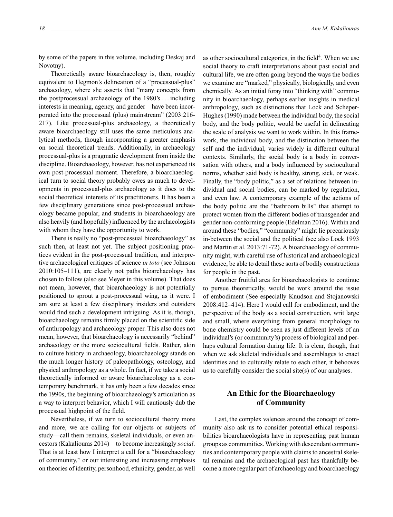by some of the papers in this volume, including Deskaj and Novotny).

Theoretically aware bioarchaeology is, then, roughly equivalent to Hegmon's delineation of a "processual-plus" archaeology, where she asserts that "many concepts from the postprocessual archaeology of the 1980's. . . including interests in meaning, agency, and gender—have been incorporated into the processual (plus) mainstream" (2003:216- 217). Like processual-plus archaeology, a theoretically aware bioarchaeology still uses the same meticulous analytical methods, though incorporating a greater emphasis on social theoretical trends. Additionally, in archaeology processual-plus is a pragmatic development from inside the discipline. Bioarchaeology, however, has not experienced its own post-processual moment. Therefore, a bioarchaeological turn to social theory probably owes as much to developments in processual-plus archaeology as it does to the social theoretical interests of its practitioners. It has been a few disciplinary generations since post-processual archaeology became popular, and students in bioarchaeology are also heavily (and hopefully) influenced by the archaeologists with whom they have the opportunity to work.

There is really no "post-processual bioarchaeology" as such then, at least not yet. The subject positioning practices evident in the post-processual tradition, and interpretive archaeological critiques of science *in toto* (see Johnson 2010:105–111), are clearly not paths bioarchaeology has chosen to follow (also see Meyer in this volume). That does not mean, however, that bioarchaeology is not potentially positioned to sprout a post-processual wing, as it were. I am sure at least a few disciplinary insiders and outsiders would find such a development intriguing. As it is, though, bioarchaeology remains firmly placed on the scientific side of anthropology and archaeology proper. This also does not mean, however, that bioarchaeology is necessarily "behind" archaeology or the more sociocultural fields. Rather, akin to culture history in archaeology, bioarchaeology stands on the much longer history of paleopathology, osteology, and physical anthropology as a whole. In fact, if we take a social theoretically informed or aware bioarchaeology as a contemporary benchmark, it has only been a few decades since the 1990s, the beginning of bioarchaeology's articulation as a way to interpret behavior, which I will cautiously dub the processual highpoint of the field.

Nevertheless, if we turn to sociocultural theory more and more, we are calling for our objects or subjects of study—call them remains, skeletal individuals, or even ancestors (Kakaliouras 2014)—to become increasingly *social*. That is at least how I interpret a call for a "bioarchaeology of community," or our interesting and increasing emphasis on theories of identity, personhood, ethnicity, gender, as well

as other sociocultural categories, in the field<sup>4</sup>. When we use social theory to craft interpretations about past social and cultural life, we are often going beyond the ways the bodies we examine are "marked," physically, biologically, and even chemically. As an initial foray into "thinking with" community in bioarchaeology, perhaps earlier insights in medical anthropology, such as distinctions that Lock and Scheper-Hughes (1990) made between the individual body, the social body, and the body politic, would be useful in delineating the scale of analysis we want to work within. In this framework, the individual body, and the distinction between the self and the individual, varies widely in different cultural contexts. Similarly, the social body is a body in conversation with others, and a body influenced by sociocultural norms, whether said body is healthy, strong, sick, or weak. Finally, the "body politic," as a set of relations between individual and social bodies, can be marked by regulation, and even law. A contemporary example of the actions of the body politic are the "bathroom bills" that attempt to protect women from the different bodies of transgender and gender non-conforming people (Edelman 2016). Within and around these "bodies," "community" might lie precariously in-between the social and the political (see also Lock 1993 and Martin et al. 2013:71-72). A bioarchaeology of community might, with careful use of historical and archaeological evidence, be able to detail these sorts of bodily constructions for people in the past.

Another fruitful area for bioarchaeologists to continue to pursue theoretically, would be work around the issue of embodiment (See especially Knudson and Stojanowski 2008:412–414). Here I would call for embodiment, and the perspective of the body as a social construction, writ large and small, where everything from general morphology to bone chemistry could be seen as just different levels of an individual's (or community's) process of biological and perhaps cultural formation during life. It is clear, though, that when we ask skeletal individuals and assemblages to enact identities and to culturally relate to each other, it behooves us to carefully consider the social site(s) of our analyses.

# **An Ethic for the Bioarchaeology of Community**

Last, the complex valences around the concept of community also ask us to consider potential ethical responsibilities bioarchaeologists have in representing past human groups as communities.Working with descendant communities and contemporary people with claims to ancestral skeletal remains and the archaeological past has thankfully become a more regular part of archaeology and bioarchaeology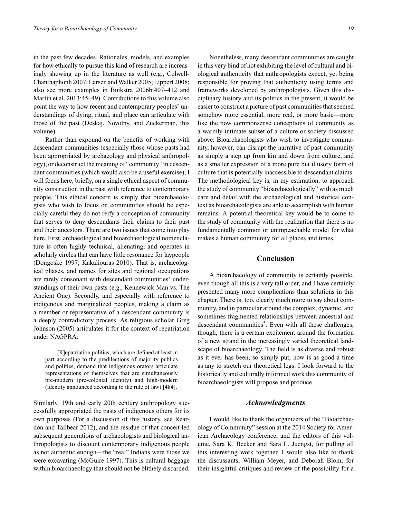in the past few decades. Rationales, models, and examples for how ethically to pursue this kind of research are increasingly showing up in the literature as well (e.g., Colwell-Chanthaphonh 2007; Larsen and Walker 2005; Lippert 2008; also see more examples in Buikstra 2006b:407–412 and Martin et al. 2013:45–49). Contributions to this volume also point the way to how recent and contemporary peoples' understandings of dying, ritual, and place can articulate with those of the past (Deskaj, Novotny, and Zuckerman, this volume).

Rather than expound on the benefits of working with descendant communities (especially those whose pasts had been appropriated by archaeology and physical anthropology), or deconstruct the meaning of "community" in descendant communities (which would also be a useful exercise), I will focus here, briefly, on a single ethical aspect of community construction in the past with reference to contemporary people. This ethical concern is simply that bioarchaeologists who wish to focus on communities should be especially careful they do not reify a conception of community that serves to deny descendants their claims to their past and their ancestors. There are two issues that come into play here. First, archaeological and bioarchaeological nomenclature is often highly technical, alienating, and operates in scholarly circles that can have little resonance for laypeople (Dongoske 1997; Kakaliouras 2010). That is, archaeological phases, and names for sites and regional occupations are rarely consonant with descendant communities' understandings of their own pasts (e.g., Kennewick Man vs. The Ancient One). Secondly, and especially with reference to indigenous and marginalized peoples, making a claim as a member or representative of a descendant community is a deeply contradictory process. As religious scholar Greg Johnson (2005) articulates it for the context of repatriation under NAGPRA:

[R]epatriation politics, which are defined at least in part according to the predilections of majority publics and polities, demand that indigenous orators articulate representations of themselves that are simultaneously pre-modern (pre-colonial identity) and high-modern (identity announced according to the rule of law) [484].

Similarly, 19th and early 20th century anthropology successfully appropriated the pasts of indigenous others for its own purposes (For a discussion of this history, see Reardon and Tallbear 2012), and the residue of that conceit led subsequent generations of archaeologists and biological anthropologists to discount contemporary indigenous people as not authentic enough—the "real" Indians were those we were excavating (McGuire 1997). This is cultural baggage within bioarchaeology that should not be blithely discarded.

Nonetheless, many descendant communities are caught in this very bind of not exhibiting the level of cultural and biological authenticity that anthropologists expect, yet being responsible for proving that authenticity using terms and frameworks developed by anthropologists. Given this disciplinary history and its politics in the present, it would be easier to construct a picture of past communities that seemed somehow more essential, more real, or more basic—more like the now commonsense conceptions of community as a warmly intimate subset of a culture or society discussed above. Bioarchaeologists who wish to investigate community, however, can disrupt the narrative of past community as simply a step up from kin and down from culture, and as a smaller expression of a more pure but illusory form of culture that is potentially inaccessible to descendant claims. The methodological key is, in my estimation, to approach the study of community "bioarchaeologically" with as much care and detail with the archaeological and historical context as bioarchaeologists are able to accomplish with human remains. A potential theoretical key would be to come to the study of community with the realization that there is no fundamentally common or unimpeachable model for what makes a human community for all places and times.

#### **Conclusion**

A bioarchaeology of community is certainly possible, even though all this is a very tall order, and I have certainly presented many more complications than solutions in this chapter. There is, too, clearly much more to say about community, and in particular around the complex, dynamic, and sometimes fragmented relationships between ancestral and descendant communities<sup>5</sup>. Even with all these challenges, though, there is a certain excitement around the formation of a new strand in the increasingly varied theoretical landscape of bioarchaeology. The field is as diverse and robust as it ever has been, so simply put, now is as good a time as any to stretch our theoretical legs. I look forward to the historically and culturally informed work this community of bioarchaeologists will propose and produce.

#### *Acknowledgments*

I would like to thank the organizers of the "Bioarchaeology of Community" session at the 2014 Society for American Archaeology conference, and the editors of this volume, Sara K. Becker and Sara L. Juengst, for pulling all this interesting work together. I would also like to thank the discussants, William Meyer, and Deborah Blom, for their insightful critiques and review of the possibility for a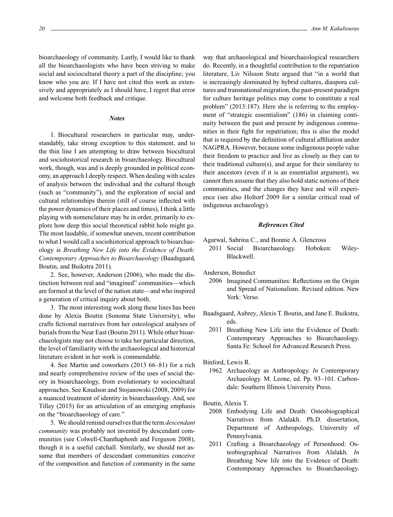bioarchaeology of community. Lastly, I would like to thank all the bioarchaeologists who have been striving to make social and sociocultural theory a part of the discipline; you know who you are. If I have not cited this work as extensively and appropriately as I should have, I regret that error and welcome both feedback and critique.

#### *Notes*

1. Biocultural researchers in particular may, understandably, take strong exception to this statement, and to the thin line I am attempting to draw between biocultural and sociohistorical research in bioarchaeology. Biocultural work, though, was and is deeply grounded in political economy, an approach I deeply respect. When dealing with scales of analysis between the individual and the cultural though (such as "community"), and the exploration of social and cultural relationships therein (still of course inflected with the power dynamics of their places and times), I think a little playing with nomenclature may be in order, primarily to explore how deep this social theoretical rabbit hole might go. The most laudable, if somewhat uneven, recent contribution to what I would call a sociohistorical approach to bioarchaeology is *Breathing New Life into the Evidence of Death: Contemporary Approaches to Bioarchaeology* (Baadsgaard, Boutin, and Buikstra 2011).

2. See, however, Anderson (2006), who made the distinction between real and "imagined" communities—which are formed at the level of the nation state—and who inspired a generation of critical inquiry about both.

3. The most interesting work along these lines has been done by Alexis Boutin (Sonoma State University), who crafts fictional narratives from her osteological analyses of burials from the Near East (Boutin 2011). While other bioarchaeologists may not choose to take her particular direction, the level of familiarity with the archaeological and historical literature evident in her work is commendable.

4. See Martin and coworkers (2013 66–81) for a rich and nearly comprehensive review of the uses of social theory in bioarchaeology, from evolutionary to sociocultural approaches. See Knudson and Stojanowski (2008, 2009) for a nuanced treatment of identity in bioarchaeology. And, see Tilley (2015) for an articulation of an emerging emphasis on the "bioarchaeology of care."

5. We should remind ourselves that the term *descendant community* was probably not invented by descendant communities (see Colwell-Chanthaphonh and Ferguson 2008), though it is a useful catchall. Similarly, we should not assume that members of descendant communities conceive of the composition and function of community in the same

way that archaeological and bioarchaeological researchers do. Recently, in a thoughtful contribution to the repatriation literature, Liv Nilsson Stutz argued that "in a world that is increasingly dominated by hybrid cultures, diaspora cultures and transnational migration, the past-present paradigm for culture heritage politics may come to constitute a real problem" (2013:187). Here she is referring to the employment of "strategic essentialism" (186) in claiming continuity between the past and present by indigenous communities in their fight for repatriation; this is also the model that is required by the definition of cultural affiliation under NAGPRA. However, because some indigenous people value their freedom to practice and live as closely as they can to their traditional culture(s), and argue for their similarity to their ancestors (even if it is an essentialist argument), we cannot then assume that they also hold static notions of their communities, and the changes they have and will experience (see also Holtorf 2009 for a similar critical read of indigenous archaeology).

# *References Cited*

Agarwal, Sabrina C., and Bonnie A. Glencross

2011 Social Bioarchaeology. Hoboken: Wiley-Blackwell.

Anderson, Benedict

- 2006 Imagined Communities: Reflections on the Origin and Spread of Nationalism. Revised edition. New York: Verso.
- Baadsgaard, Aubrey, Alexis T. Boutin, and Jane E. Buikstra, eds.
	- 2011 Breathing New Life into the Evidence of Death: Contemporary Approaches to Bioarchaeology. Santa Fe: School for Advanced Research Press.

Binford, Lewis R.

1962 Archaeology as Anthropology. *In* Contemporary Archaeology. M. Leone, ed. Pp. 93–101. Carbondale: Southern Illinois University Press.

Boutin, Alexis T.

- 2008 Embodying Life and Death: Osteobiographical Narratives from Alalakh. Ph.D. dissertation, Department of Anthropology, University of Pennsylvania.
- 2011 Crafting a Bioarchaeology of Personhood: Osteobiographical Narratives from Alalakh. *In* Breathing New life into the Evidence of Death: Contemporary Approaches to Bioarchaeology.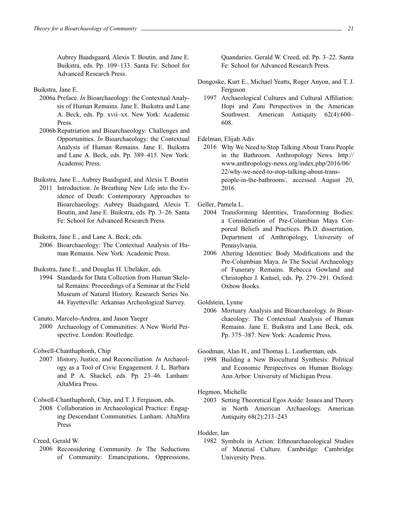Aubrey Baadsgaard, Alexis T. Boutin, and Jane E. Buikstra, eds. Pp. 109–133. Santa Fe: School for Advanced Research Press.

Buikstra, Jane E.

- 2006a Preface. *In* Bioarchaeology: the Contextual Analysis of Human Remains. Jane E. Buikstra and Lane A. Beck, eds. Pp. xvii–xx. New York: Academic Press.
- 2006b Repatriation and Bioarchaeology: Challenges and Opportunities. *In* Bioarchaeology: the Contextual Analysis of Human Remains. Jane E. Buikstra and Lane A. Beck, eds. Pp. 389–415. New York: Academic Press.

Buikstra, Jane E., Aubrey Baadsgard, and Alexis T. Boutin

2011 Introduction. *In* Breathing New Life into the Evidence of Death: Contemporary Approaches to Bioarchaeology. Aubrey Baadsgaard, Alexis T. Boutin, and Jane E. Buikstra, eds. Pp. 3–26. Santa Fe: School for Advanced Research Press.

Buikstra, Jane E., and Lane A. Beck, eds.

2006 Bioarchaeology: The Contextual Analysis of Human Remains. New York: Academic Press.

Buikstra, Jane E., and Douglas H. Ubelaker, eds.

1994 Standards for Data Collection from Human Skeletal Remains: Proceedings of a Seminar at the Field Museum of Natural History. Research Series No. 44. Fayetteville: Arkansas Archeological Survey.

Canuto, Marcelo-Andrea, and Jason Yaeger

2000 Archaeology of Communities: A New World Perspective. London: Routledge.

Colwell-Chanthaphonh, Chip

2007 History, Justice, and Reconciliation. *In* Archaeology as a Tool of Civic Engagement. J. L. Barbara and P. A. Shackel, eds. Pp. 23–46. Lanham: AltaMira Press.

Colwell-Chanthaphonh, Chip, and T. J. Ferguson, eds.

2008 Collaboration in Archaeological Practice: Engaging Descendant Communities. Lanham: AltaMira Press

# Creed, Gerald W.

2006 Reconsidering Community. *In* The Seductions of Community: Emancipations, Oppressions, Quandaries. Gerald W. Creed, ed. Pp. 3–22. Santa Fe: School for Advanced Research Press.

- Dongoske, Kurt E., Michael Yeatts, Roger Anyon, and T. J. Ferguson
	- 1997 Archaeological Cultures and Cultural Affiliation: Hopi and Zuni Perspectives in the American Southwest. American Antiquity 62(4):600– 608.

Edelman, Elijah Adiv

2016 Why We Need to Stop Talking About Trans People in the Bathroom. Anthropology News. http:// www.anthropology-news.org/index.php/2016/06/ 22/why-we-need-to-stop-talking-about-transpeople-in-the-bathroom/, accessed August 20, 2016.

Geller, Pamela L.

- 2004 Transforming Identities, Transforming Bodies: a Consideration of Pre-Columbian Maya Corporeal Beliefs and Practices. Ph.D. dissertation, Department of Anthropology, University of Pennsylvania.
- 2006 Altering Identities: Body Modifications and the Pre-Columbian Maya. *In* The Social Archaeology of Funerary Remains. Rebecca Gowland and Christopher J. Knüsel, eds. Pp. 279–291. Oxford: Oxbow Books.
- Goldstein, Lynne
	- 2006 Mortuary Analysis and Bioarchaeology. *In* Bioarchaeology: The Contextual Analysis of Human Remains. Jane E. Buikstra and Lane Beck, eds. Pp. 375–387. New York: Academic Press.

Goodman, Alan H., and Thomas L. Leatherman, eds.

1998 Building a New Biocultural Synthesis: Political and Economic Perspectives on Human Biology. Ann Arbor: University of Michigan Press.

Hegmon, Michelle

2003 Setting Theoretical Egos Aside: Issues and Theory in North American Archaeology. American Antiquity 68(2):213–243

Hodder, Ian

1982 Symbols in Action: Ethnoarchaeological Studies of Material Culture. Cambridge: Cambridge University Press.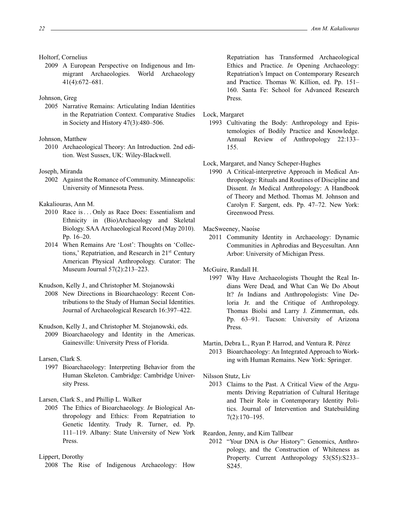#### Holtorf, Cornelius

2009 A European Perspective on Indigenous and Immigrant Archaeologies. World Archaeology 41(4):672–681.

#### Johnson, Greg

2005 Narrative Remains: Articulating Indian Identities in the Repatriation Context. Comparative Studies in Society and History 47(3):480–506.

#### Johnson, Matthew

2010 Archaeological Theory: An Introduction. 2nd edition. West Sussex, UK: Wiley-Blackwell.

#### Joseph, Miranda

2002 Against the Romance of Community. Minneapolis: University of Minnesota Press.

Kakaliouras, Ann M.

- 2010 Race is ... Only as Race Does: Essentialism and Ethnicity in (Bio)Archaeology and Skeletal Biology. SAA Archaeological Record (May 2010). Pp. 16–20.
- 2014 When Remains Are 'Lost': Thoughts on 'Collections,' Repatriation, and Research in 21st Century American Physical Anthropology. Curator: The Museum Journal 57(2):213–223.

Knudson, Kelly J., and Christopher M. Stojanowski

2008 New Directions in Bioarchaeology: Recent Contributions to the Study of Human Social Identities. Journal of Archaeological Research 16:397–422.

Knudson, Kelly J., and Christopher M. Stojanowski, eds.

2009 Bioarchaeology and Identity in the Americas. Gainesville: University Press of Florida.

Larsen, Clark S.

1997 Bioarchaeology: Interpreting Behavior from the Human Skeleton. Cambridge: Cambridge University Press.

Larsen, Clark S., and Phillip L. Walker

2005 The Ethics of Bioarchaeology. *In* Biological Anthropology and Ethics: From Repatriation to Genetic Identity. Trudy R. Turner, ed. Pp. 111–119. Albany: State University of New York Press.

2008 The Rise of Indigenous Archaeology: How

Repatriation has Transformed Archaeological Ethics and Practice. *In* Opening Archaeology: Repatriation's Impact on Contemporary Research and Practice. Thomas W. Killion, ed. Pp. 151– 160. Santa Fe: School for Advanced Research Press.

Lock, Margaret

1993 Cultivating the Body: Anthropology and Epistemologies of Bodily Practice and Knowledge. Annual Review of Anthropology 22:133– 155.

## Lock, Margaret, and Nancy Scheper-Hughes

1990 A Critical-interpretive Approach in Medical Anthropology: Rituals and Routines of Discipline and Dissent. *In* Medical Anthropology: A Handbook of Theory and Method. Thomas M. Johnson and Carolyn F. Sargent, eds. Pp. 47–72. New York: Greenwood Press.

MacSweeney, Naoíse

2011 Community Identity in Archaeology: Dynamic Communities in Aphrodias and Beycesultan. Ann Arbor: University of Michigan Press.

McGuire, Randall H.

1997 Why Have Archaeologists Thought the Real Indians Were Dead, and What Can We Do About It? *In* Indians and Anthropologists: Vine Deloria Jr. and the Critique of Anthropology. Thomas Biolsi and Larry J. Zimmerman, eds. Pp. 63–91. Tucson: University of Arizona Press.

# Martin, Debra L., Ryan P. Harrod, and Ventura R. Pérez 2013 Bioarchaeology: An Integrated Approach to Working with Human Remains. New York: Springer.

Nilsson Stutz, Liv

2013 Claims to the Past. A Critical View of the Arguments Driving Repatriation of Cultural Heritage and Their Role in Contemporary Identity Politics. Journal of Intervention and Statebuilding 7(2):170–195.

Reardon, Jenny, and Kim Tallbear

2012 "Your DNA is *Our* History": Genomics, Anthropology, and the Construction of Whiteness as Property. Current Anthropology 53(S5):S233-S245.

Lippert, Dorothy